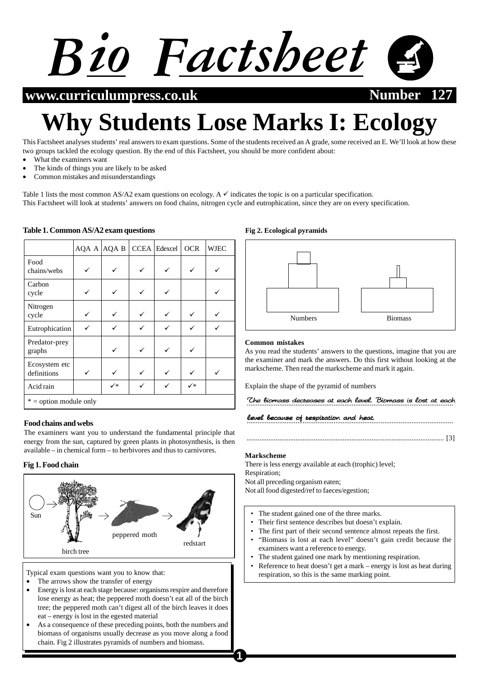

**www.curriculumpress.co.uk Number 127**

# **Why Students Lose Marks I: Ecology**

This Factsheet analyses students' real answers to exam questions. Some of the students received an A grade, some received an E. We'll look at how these two groups tackled the ecology question. By the end of this Factsheet, you should be more confident about:

- What the examiners want
- The kinds of things you are likely to be asked
- Common mistakes and misunderstandings

Table 1 lists the most common AS/A2 exam questions on ecology. A  $\checkmark$  indicates the topic is on a particular specification. This Factsheet will look at students' answers on food chains, nitrogen cycle and eutrophication, since they are on every specification.

|                              |   | AQA A AQA B | CCEA Edexcel | <b>OCR</b> | <b>WJEC</b> |
|------------------------------|---|-------------|--------------|------------|-------------|
| Food<br>chains/webs          |   |             |              |            |             |
| Carbon<br>cycle              |   |             |              |            |             |
| Nitrogen<br>cycle            |   |             |              |            |             |
| Eutrophication               | ✓ |             |              |            |             |
| Predator-prey<br>graphs      |   |             |              |            |             |
| Ecosystem etc<br>definitions | ✓ |             |              |            |             |
| Acid rain                    |   | ✓∗          | ✓            | ✓∗         |             |
| $* =$ option module only     |   |             |              |            |             |

#### **Table 1. Common AS/A2 exam questions**

## **Food chains and webs**

The examiners want you to understand the fundamental principle that energy from the sun, captured by green plants in photosynthesis, is then available – in chemical form – to herbivores and thus to carnivores.

## **Fig 1. Food chain**



Typical exam questions want you to know that:

- The arrows show the transfer of energy
- Energy is lost at each stage because: organisms respire and therefore lose energy as heat; the peppered moth doesn't eat all of the birch tree; the peppered moth can't digest all of the birch leaves it does eat – energy is lost in the egested material
- As a consequence of these preceding points, both the numbers and biomass of organisms usually decrease as you move along a food chain. Fig 2 illustrates pyramids of numbers and biomass.

#### **Fig 2. Ecological pyramids**



#### **Common mistakes**

As you read the students' answers to the questions, imagine that you are the examiner and mark the answers. Do this first without looking at the markscheme. Then read the markscheme and mark it again.

Explain the shape of the pyramid of numbers

.................................................................................................................. The biomass decreases at each level. Biomass is lost at each

.................................................................................................................. level because of respiration and heat. because of respiration and

............................................................................................................. [3]

#### **Markscheme**

There is less energy available at each (trophic) level; Respiration;

Not all preceding organism eaten;

Not all food digested/ref to faeces/egestion;

- The student gained one of the three marks.
- Their first sentence describes but doesn't explain.
- The first part of their second sentence almost repeats the first.
- "Biomass is lost at each level" doesn't gain credit because the examiners want a reference to energy.
- The student gained one mark by mentioning respiration.
- Reference to heat doesn't get a mark energy is lost as heat during respiration, so this is the same marking point.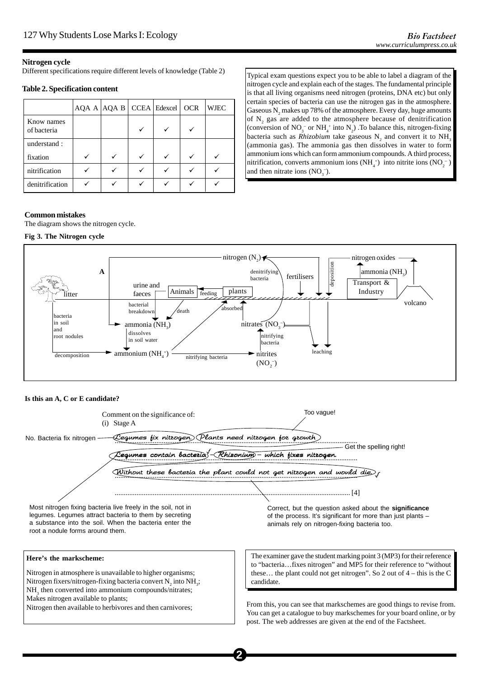# **Nitrogen cycle**

Different specifications require different levels of knowledge (Table 2)

## **Table 2. Specification content**

|                           | AQA A  AQA B   CCEA   Edexcel |  | <b>OCR</b> | <b>WJEC</b> |
|---------------------------|-------------------------------|--|------------|-------------|
| Know names<br>of bacteria |                               |  |            |             |
| understand:               |                               |  |            |             |
| fixation                  |                               |  | V          |             |
| nitrification             |                               |  |            |             |
| denitrification           |                               |  |            |             |

Typical exam questions expect you to be able to label a diagram of the nitrogen cycle and explain each of the stages. The fundamental principle is that all living organisms need nitrogen (proteins, DNA etc) but only certain species of bacteria can use the nitrogen gas in the atmosphere. Gaseous  $\text{N}_\text{2}$  makes up 78% of the atmosphere. Every day, huge amounts of  $N_2$  gas are added to the atmosphere because of denitrification (conversion of  $NO_3^-$  or  $NH_4^+$  into  $N_2$ ). To balance this, nitrogen-fixing bacteria such as *Rhizobium* take gaseous  $N_2$  and convert it to  $NH_3$ (ammonia gas). The ammonia gas then dissolves in water to form ammonium ions which can form ammonium compounds. A third process, nitrification, converts ammonium ions (NH<sub>4</sub><sup>+</sup>) into nitrite ions (NO<sub>2</sub><sup>-</sup>) and then nitrate ions  $(NO<sub>3</sub><sup>-</sup>).$ 

# **Common mistakes**

The diagram shows the nitrogen cycle.

#### **Fig 3. The Nitrogen cycle**



## **Is this an A, C or E candidate?**



**2**